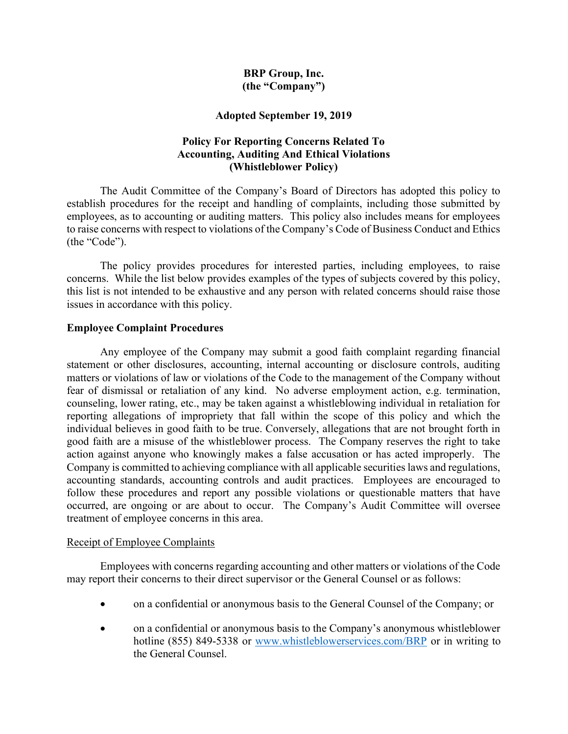### BRP Group, Inc. (the "Company")

### Adopted September 19, 2019

# Policy For Reporting Concerns Related To Accounting, Auditing And Ethical Violations (Whistleblower Policy)

The Audit Committee of the Company's Board of Directors has adopted this policy to establish procedures for the receipt and handling of complaints, including those submitted by employees, as to accounting or auditing matters. This policy also includes means for employees to raise concerns with respect to violations of the Company's Code of Business Conduct and Ethics (the "Code").

The policy provides procedures for interested parties, including employees, to raise concerns. While the list below provides examples of the types of subjects covered by this policy, this list is not intended to be exhaustive and any person with related concerns should raise those issues in accordance with this policy.

#### Employee Complaint Procedures

Any employee of the Company may submit a good faith complaint regarding financial statement or other disclosures, accounting, internal accounting or disclosure controls, auditing matters or violations of law or violations of the Code to the management of the Company without fear of dismissal or retaliation of any kind. No adverse employment action, e.g. termination, counseling, lower rating, etc., may be taken against a whistleblowing individual in retaliation for reporting allegations of impropriety that fall within the scope of this policy and which the individual believes in good faith to be true. Conversely, allegations that are not brought forth in good faith are a misuse of the whistleblower process. The Company reserves the right to take action against anyone who knowingly makes a false accusation or has acted improperly. The Company is committed to achieving compliance with all applicable securities laws and regulations, accounting standards, accounting controls and audit practices. Employees are encouraged to follow these procedures and report any possible violations or questionable matters that have occurred, are ongoing or are about to occur. The Company's Audit Committee will oversee treatment of employee concerns in this area.

#### Receipt of Employee Complaints

Employees with concerns regarding accounting and other matters or violations of the Code may report their concerns to their direct supervisor or the General Counsel or as follows:

- on a confidential or anonymous basis to the General Counsel of the Company; or
- on a confidential or anonymous basis to the Company's anonymous whistleblower hotline (855) 849-5338 or www.whistleblowerservices.com/BRP or in writing to the General Counsel.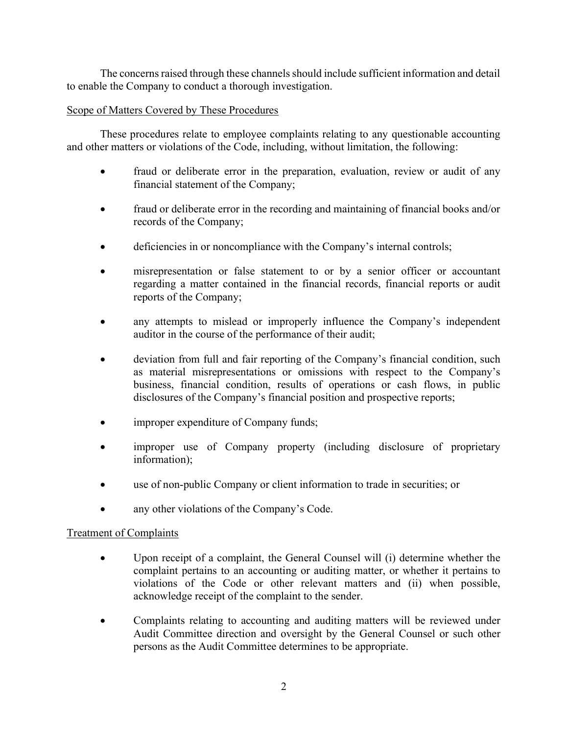The concerns raised through these channels should include sufficient information and detail to enable the Company to conduct a thorough investigation.

### Scope of Matters Covered by These Procedures

These procedures relate to employee complaints relating to any questionable accounting and other matters or violations of the Code, including, without limitation, the following:

- fraud or deliberate error in the preparation, evaluation, review or audit of any financial statement of the Company;
- fraud or deliberate error in the recording and maintaining of financial books and/or records of the Company;
- deficiencies in or noncompliance with the Company's internal controls;
- misrepresentation or false statement to or by a senior officer or accountant regarding a matter contained in the financial records, financial reports or audit reports of the Company;
- any attempts to mislead or improperly influence the Company's independent auditor in the course of the performance of their audit;
- deviation from full and fair reporting of the Company's financial condition, such as material misrepresentations or omissions with respect to the Company's business, financial condition, results of operations or cash flows, in public disclosures of the Company's financial position and prospective reports;
- improper expenditure of Company funds;
- improper use of Company property (including disclosure of proprietary information);
- use of non-public Company or client information to trade in securities; or
- any other violations of the Company's Code.

# Treatment of Complaints

- Upon receipt of a complaint, the General Counsel will (i) determine whether the complaint pertains to an accounting or auditing matter, or whether it pertains to violations of the Code or other relevant matters and (ii) when possible, acknowledge receipt of the complaint to the sender.
- Complaints relating to accounting and auditing matters will be reviewed under Audit Committee direction and oversight by the General Counsel or such other persons as the Audit Committee determines to be appropriate.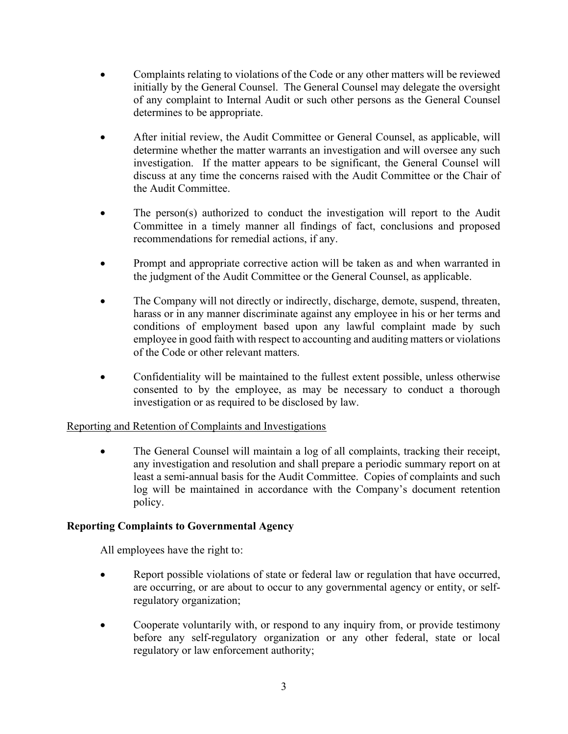- Complaints relating to violations of the Code or any other matters will be reviewed initially by the General Counsel. The General Counsel may delegate the oversight of any complaint to Internal Audit or such other persons as the General Counsel determines to be appropriate.
- After initial review, the Audit Committee or General Counsel, as applicable, will determine whether the matter warrants an investigation and will oversee any such investigation. If the matter appears to be significant, the General Counsel will discuss at any time the concerns raised with the Audit Committee or the Chair of the Audit Committee.
- The person(s) authorized to conduct the investigation will report to the Audit Committee in a timely manner all findings of fact, conclusions and proposed recommendations for remedial actions, if any.
- Prompt and appropriate corrective action will be taken as and when warranted in the judgment of the Audit Committee or the General Counsel, as applicable.
- The Company will not directly or indirectly, discharge, demote, suspend, threaten, harass or in any manner discriminate against any employee in his or her terms and conditions of employment based upon any lawful complaint made by such employee in good faith with respect to accounting and auditing matters or violations of the Code or other relevant matters.
- Confidentiality will be maintained to the fullest extent possible, unless otherwise consented to by the employee, as may be necessary to conduct a thorough investigation or as required to be disclosed by law.

# Reporting and Retention of Complaints and Investigations

 The General Counsel will maintain a log of all complaints, tracking their receipt, any investigation and resolution and shall prepare a periodic summary report on at least a semi-annual basis for the Audit Committee. Copies of complaints and such log will be maintained in accordance with the Company's document retention policy.

# Reporting Complaints to Governmental Agency

All employees have the right to:

- Report possible violations of state or federal law or regulation that have occurred, are occurring, or are about to occur to any governmental agency or entity, or selfregulatory organization;
- Cooperate voluntarily with, or respond to any inquiry from, or provide testimony before any self-regulatory organization or any other federal, state or local regulatory or law enforcement authority;